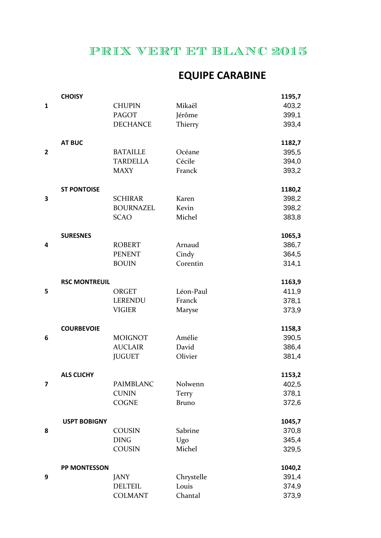## PRIX VERT ET BLANC 2015

## **EQUIPE CARABINE**

|                         | <b>CHOISY</b>        |                  |              | 1195,7 |
|-------------------------|----------------------|------------------|--------------|--------|
| $\mathbf{1}$            |                      | <b>CHUPIN</b>    | Mikaël       | 403,2  |
|                         |                      | <b>PAGOT</b>     | Jérôme       | 399,1  |
|                         |                      | <b>DECHANCE</b>  | Thierry      | 393,4  |
|                         | <b>AT BUC</b>        |                  |              | 1182,7 |
| $\mathbf{2}$            |                      | <b>BATAILLE</b>  | Océane       | 395,5  |
|                         |                      | <b>TARDELLA</b>  | Cécile       | 394,0  |
|                         |                      | <b>MAXY</b>      | Franck       | 393,2  |
|                         | <b>ST PONTOISE</b>   |                  |              | 1180,2 |
| 3                       |                      | <b>SCHIRAR</b>   | Karen        | 398,2  |
|                         |                      | <b>BOURNAZEL</b> | Kevin        | 398,2  |
|                         |                      | <b>SCAO</b>      | Michel       | 383,8  |
|                         | <b>SURESNES</b>      |                  |              | 1065,3 |
| 4                       |                      | <b>ROBERT</b>    | Arnaud       | 386,7  |
|                         |                      | <b>PENENT</b>    | Cindy        | 364,5  |
|                         |                      | <b>BOUIN</b>     | Corentin     | 314,1  |
|                         | <b>RSC MONTREUIL</b> |                  |              | 1163,9 |
| 5                       |                      | <b>ORGET</b>     | Léon-Paul    | 411,9  |
|                         |                      | LERENDU          | Franck       | 378,1  |
|                         |                      | <b>VIGIER</b>    | Maryse       | 373,9  |
|                         | <b>COURBEVOIE</b>    |                  |              | 1158,3 |
| 6                       |                      | <b>MOIGNOT</b>   | Amélie       | 390,5  |
|                         |                      | <b>AUCLAIR</b>   | David        | 386,4  |
|                         |                      | <b>JUGUET</b>    | Olivier      | 381,4  |
|                         | <b>ALS CLICHY</b>    |                  |              | 1153,2 |
| $\overline{\mathbf{z}}$ |                      | PAIMBLANC        | Nolwenn      | 402,5  |
|                         |                      | <b>CUNIN</b>     | Terry        | 378,1  |
|                         |                      | <b>COGNE</b>     | <b>Bruno</b> | 372,6  |
|                         | <b>USPT BOBIGNY</b>  |                  |              | 1045,7 |
| 8                       |                      | COUSIN           | Sabrine      | 370,8  |
|                         |                      | <b>DING</b>      | Ugo          | 345,4  |
|                         |                      | <b>COUSIN</b>    | Michel       | 329,5  |
|                         | PP MONTESSON         |                  |              | 1040,2 |
| 9                       |                      | <b>JANY</b>      | Chrystelle   | 391,4  |
|                         |                      | <b>DELTEIL</b>   | Louis        | 374,9  |
|                         |                      | <b>COLMANT</b>   | Chantal      | 373,9  |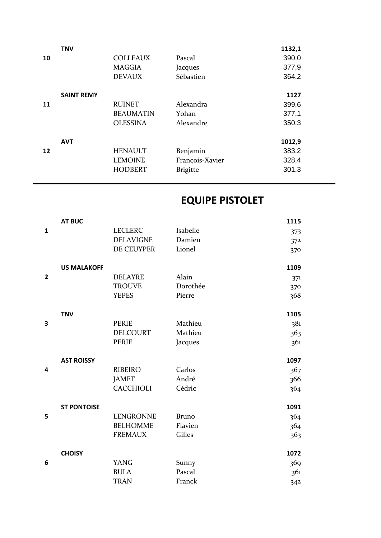|    | <b>TNV</b>        |                  |                 | 1132,1 |
|----|-------------------|------------------|-----------------|--------|
| 10 |                   | <b>COLLEAUX</b>  | Pascal          | 390,0  |
|    |                   | <b>MAGGIA</b>    | Jacques         | 377,9  |
|    |                   | <b>DEVAUX</b>    | Sébastien       | 364,2  |
|    |                   |                  |                 |        |
|    | <b>SAINT REMY</b> |                  |                 | 1127   |
| 11 |                   | <b>RUINET</b>    | Alexandra       | 399,6  |
|    |                   | <b>BEAUMATIN</b> | Yohan           | 377,1  |
|    |                   | <b>OLESSINA</b>  | Alexandre       | 350,3  |
|    |                   |                  |                 |        |
|    | <b>AVT</b>        |                  |                 | 1012,9 |
| 12 |                   | <b>HENAULT</b>   | Benjamin        | 383,2  |
|    |                   | <b>LEMOINE</b>   | François-Xavier | 328,4  |
|    |                   | <b>HODBERT</b>   | <b>Brigitte</b> | 301,3  |
|    |                   |                  |                 |        |

## **EQUIPE PISTOLET**

|                | <b>AT BUC</b>      |                  |              | 1115 |
|----------------|--------------------|------------------|--------------|------|
| $\mathbf{1}$   |                    | <b>LECLERC</b>   | Isabelle     | 373  |
|                |                    | <b>DELAVIGNE</b> | Damien       | 372  |
|                |                    | DE CEUYPER       | Lionel       | 370  |
|                | <b>US MALAKOFF</b> |                  |              | 1109 |
| $\overline{2}$ |                    | <b>DELAYRE</b>   | Alain        | 371  |
|                |                    | <b>TROUVE</b>    | Dorothée     | 370  |
|                |                    | <b>YEPES</b>     | Pierre       | 368  |
|                | <b>TNV</b>         |                  |              | 1105 |
| 3              |                    | <b>PERIE</b>     | Mathieu      | 381  |
|                |                    | <b>DELCOURT</b>  | Mathieu      | 363  |
|                |                    | <b>PERIE</b>     | Jacques      | 361  |
|                | <b>AST ROISSY</b>  |                  |              | 1097 |
| 4              |                    | <b>RIBEIRO</b>   | Carlos       | 367  |
|                |                    | <b>JAMET</b>     | André        | 366  |
|                |                    | CACCHIOLI        | Cédric       | 364  |
|                | <b>ST PONTOISE</b> |                  |              | 1091 |
| 5              |                    | <b>LENGRONNE</b> | <b>Bruno</b> | 364  |
|                |                    | <b>BELHOMME</b>  | Flavien      | 364  |
|                |                    | <b>FREMAUX</b>   | Gilles       | 363  |
|                | <b>CHOISY</b>      |                  |              | 1072 |
| 6              |                    | <b>YANG</b>      | Sunny        | 369  |
|                |                    | <b>BULA</b>      | Pascal       | 361  |
|                |                    | <b>TRAN</b>      | Franck       | 342  |